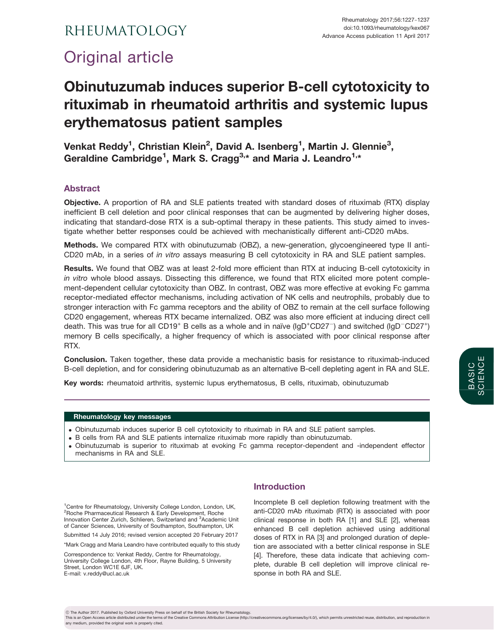# RHEUMATOLOGY

# Original article

# Obinutuzumab induces superior B-cell cytotoxicity to rituximab in rheumatoid arthritis and systemic lupus erythematosus patient samples

Venkat Reddy<sup>1</sup>, Christian Klein<sup>2</sup>, David A. Isenberg<sup>1</sup>, Martin J. Glennie<sup>3</sup>, Geraldine Cambridge<sup>1</sup>, Mark S. Cragg<sup>3,\*</sup> and Maria J. Leandro<sup>1,\*</sup>

# Abstract

Objective. A proportion of RA and SLE patients treated with standard doses of rituximab (RTX) display inefficient B cell deletion and poor clinical responses that can be augmented by delivering higher doses, indicating that standard-dose RTX is a sub-optimal therapy in these patients. This study aimed to investigate whether better responses could be achieved with mechanistically different anti-CD20 mAbs.

Methods. We compared RTX with obinutuzumab (OBZ), a new-generation, glycoengineered type II anti-CD20 mAb, in a series of in vitro assays measuring B cell cytotoxicity in RA and SLE patient samples.

Results. We found that OBZ was at least 2-fold more efficient than RTX at inducing B-cell cytotoxicity in in vitro whole blood assays. Dissecting this difference, we found that RTX elicited more potent complement-dependent cellular cytotoxicity than OBZ. In contrast, OBZ was more effective at evoking Fc gamma receptor-mediated effector mechanisms, including activation of NK cells and neutrophils, probably due to stronger interaction with Fc gamma receptors and the ability of OBZ to remain at the cell surface following CD20 engagement, whereas RTX became internalized. OBZ was also more efficient at inducing direct cell death. This was true for all CD19<sup>+</sup> B cells as a whole and in naïve ( $IgD<sup>+</sup>CD27<sup>-</sup>$ ) and switched ( $IgD<sup>-</sup>CD27<sup>+</sup>$ ) memory B cells specifically, a higher frequency of which is associated with poor clinical response after RTX.

Conclusion. Taken together, these data provide a mechanistic basis for resistance to rituximab-induced B-cell depletion, and for considering obinutuzumab as an alternative B-cell depleting agent in RA and SLE.

Key words: rheumatoid arthritis, systemic lupus erythematosus, B cells, rituximab, obinutuzumab

## Rheumatology key messages

- . Obinutuzumab induces superior B cell cytotoxicity to rituximab in RA and SLE patient samples.
- . B cells from RA and SLE patients internalize rituximab more rapidly than obinutuzumab.
- . Obinutuzumab is superior to rituximab at evoking Fc gamma receptor-dependent and -independent effector mechanisms in RA and SLE.

<sup>1</sup>Centre for Rheumatology, University College London, London, UK, 2 Roche Pharmaceutical Research & Early Development, Roche Innovation Center Zurich, Schlieren, Switzerland and <sup>3</sup>Academic Unit of Cancer Sciences, University of Southampton, Southampton, UK

Submitted 14 July 2016; revised version accepted 20 February 2017

\*Mark Cragg and Maria Leandro have contributed equally to this study

Correspondence to: Venkat Reddy, Centre for Rheumatology, University College London, 4th Floor, Rayne Building, 5 University Street, London WC1E 6JF, UK. E-mail: v.reddy@ucl.ac.uk

## Introduction

Incomplete B cell depletion following treatment with the anti-CD20 mAb rituximab (RTX) is associated with poor clinical response in both RA [\[1\]](#page-9-0) and SLE [\[2\]](#page-9-0), whereas enhanced B cell depletion achieved using additional doses of RTX in RA [[3](#page-9-0)] and prolonged duration of depletion are associated with a better clinical response in SLE [[4\]](#page-9-0). Therefore, these data indicate that achieving complete, durable B cell depletion will improve clinical response in both RA and SLE.

any medium, provided the original work is properly cited.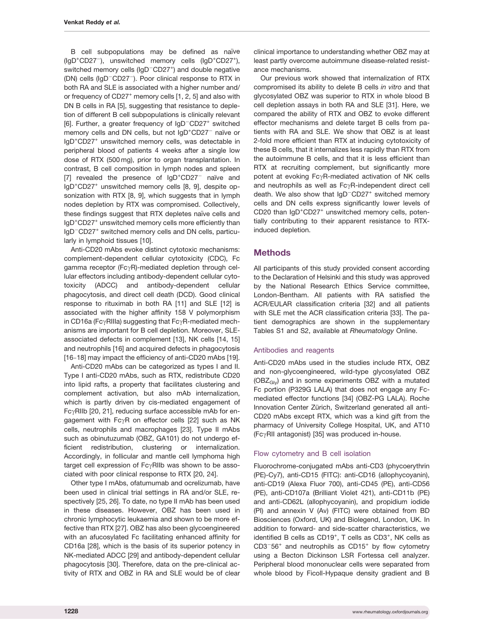B cell subpopulations may be defined as naïve (IgD<sup>+</sup>CD27<sup>-</sup>), unswitched memory cells (IgD<sup>+</sup>CD27<sup>+</sup>), switched memory cells (IgD<sup>-</sup>CD27<sup>+</sup>) and double negative (DN) cells (IgD<sup>-</sup>CD27<sup>-</sup>). Poor clinical response to RTX in both RA and SLE is associated with a higher number and/ or frequency of CD27<sup>+</sup> memory cells [\[1](#page-9-0), [2](#page-9-0), [5\]](#page-9-0) and also with DN B cells in RA [\[5\]](#page-9-0), suggesting that resistance to depletion of different B cell subpopulations is clinically relevant [[6](#page-9-0)]. Further, a greater frequency of IgD<sup>-</sup>CD27<sup>+</sup> switched memory cells and DN cells, but not IgD<sup>+</sup>CD27<sup>-</sup> naïve or IgD+ CD27<sup>+</sup> unswitched memory cells, was detectable in peripheral blood of patients 4 weeks after a single low dose of RTX (500 mg), prior to organ transplantation. In contrast, B cell composition in lymph nodes and spleen [[7](#page-9-0)] revealed the presence of IgD<sup>+</sup>CD27<sup>-</sup> naïve and IgD+ CD27<sup>+</sup> unswitched memory cells [\[8](#page-9-0), [9\]](#page-9-0), despite opsonization with RTX [\[8, 9](#page-9-0)], which suggests that in lymph nodes depletion by RTX was compromised. Collectively, these findings suggest that RTX depletes naïve cells and IgD<sup>+</sup>CD27<sup>+</sup> unswitched memory cells more efficiently than IgD<sup>-</sup>CD27<sup>+</sup> switched memory cells and DN cells, particularly in lymphoid tissues [[10](#page-9-0)].

Anti-CD20 mAbs evoke distinct cytotoxic mechanisms: complement-dependent cellular cytotoxicity (CDC), Fc gamma receptor (Fc $\gamma$ R)-mediated depletion through cellular effectors including antibody-dependent cellular cytotoxicity (ADCC) and antibody-dependent cellular phagocytosis, and direct cell death (DCD). Good clinical response to rituximab in both RA [[11\]](#page-9-0) and SLE [[12](#page-9-0)] is associated with the higher affinity 158 V polymorphism in CD16a (Fc $\gamma$ RIIIa) suggesting that Fc $\gamma$ R-mediated mechanisms are important for B cell depletion. Moreover, SLEassociated defects in complement [\[13](#page-9-0)], NK cells [\[14, 15](#page-9-0)] and neutrophils [\[16\]](#page-9-0) and acquired defects in phagocytosis [[16](#page-9-0)-[18](#page-9-0)] may impact the efficiency of anti-CD20 mAbs [[19](#page-9-0)].

Anti-CD20 mAbs can be categorized as types I and II. Type I anti-CD20 mAbs, such as RTX, redistribute CD20 into lipid rafts, a property that facilitates clustering and complement activation, but also mAb internalization, which is partly driven by cis-mediated engagement of  $Fc\gamma$ RIIb [[20](#page-9-0), [21\]](#page-9-0), reducing surface accessible mAb for engagement with  $Fe\gamma$ R on effector cells [\[22](#page-9-0)] such as NK cells, neutrophils and macrophages [\[23](#page-9-0)]. Type II mAbs such as obinutuzumab (OBZ, GA101) do not undergo efficient redistribution, clustering or internalization. Accordingly, in follicular and mantle cell lymphoma high target cell expression of  $Fc\gamma$ RIIb was shown to be associated with poor clinical response to RTX [\[20](#page-9-0), [24\]](#page-9-0).

Other type I mAbs, ofatumumab and ocrelizumab, have been used in clinical trial settings in RA and/or SLE, respectively [[25,](#page-9-0) [26\]](#page-10-0). To date, no type II mAb has been used in these diseases. However, OBZ has been used in chronic lymphocytic leukaemia and shown to be more effective than RTX [\[27\]](#page-10-0). OBZ has also been glycoengineered with an afucosylated Fc facilitating enhanced affinity for CD16a [[28](#page-10-0)], which is the basis of its superior potency in NK-mediated ADCC [[29](#page-10-0)] and antibody-dependent cellular phagocytosis [\[30\]](#page-10-0). Therefore, data on the pre-clinical activity of RTX and OBZ in RA and SLE would be of clear

clinical importance to understanding whether OBZ may at least partly overcome autoimmune disease-related resistance mechanisms.

Our previous work showed that internalization of RTX compromised its ability to delete B cells in vitro and that glycosylated OBZ was superior to RTX in whole blood B cell depletion assays in both RA and SLE [\[31](#page-10-0)]. Here, we compared the ability of RTX and OBZ to evoke different effector mechanisms and delete target B cells from patients with RA and SLE. We show that OBZ is at least 2-fold more efficient than RTX at inducing cytotoxicity of these B cells, that it internalizes less rapidly than RTX from the autoimmune B cells, and that it is less efficient than RTX at recruiting complement, but significantly more potent at evoking FcyR-mediated activation of NK cells and neutrophils as well as  $Fc\gamma R$ -independent direct cell death. We also show that IgD<sup>-</sup>CD27<sup>+</sup> switched memory cells and DN cells express significantly lower levels of CD20 than IgD<sup>+</sup>CD27<sup>+</sup> unswitched memory cells, potentially contributing to their apparent resistance to RTXinduced depletion.

## Methods

All participants of this study provided consent according to the Declaration of Helsinki and this study was approved by the National Research Ethics Service committee, London-Bentham. All patients with RA satisfied the ACR/EULAR classification criteria [[32](#page-10-0)] and all patients with SLE met the ACR classification criteria [\[33\]](#page-10-0). The patient demographics are shown in the [supplementary](http://rheumatology.oxfordjournals.org/lookup/suppl/doi:10.1093/rheumatology/kex067/-/DC1) [Tables S1 and S2,](http://rheumatology.oxfordjournals.org/lookup/suppl/doi:10.1093/rheumatology/kex067/-/DC1) available at Rheumatology Online.

#### Antibodies and reagents

Anti-CD20 mAbs used in the studies include RTX, OBZ and non-glycoengineered, wild-type glycosylated OBZ  $(OBZ<sub>Glv</sub>)$  and in some experiments OBZ with a mutated Fc portion (P329G LALA) that does not engage any Fcmediated effector functions [[34\]](#page-10-0) (OBZ-PG LALA). Roche Innovation Center Zürich, Switzerland generated all anti-CD20 mAbs except RTX, which was a kind gift from the pharmacy of University College Hospital, UK, and AT10 (Fc $\gamma$ RII antagonist) [\[35\]](#page-10-0) was produced in-house.

#### Flow cytometry and B cell isolation

Fluorochrome-conjugated mAbs anti-CD3 (phycoerythrin (PE)-Cy7), anti-CD15 (FITC): anti-CD16 (allophycoyanin), anti-CD19 (Alexa Fluor 700), anti-CD45 (PE), anti-CD56 (PE), anti-CD107a (Brilliant Violet 421), anti-CD11b (PE) and anti-CD62L (allophycoyanin), and propidium iodide (PI) and annexin V (Av) (FITC) were obtained from BD Biosciences (Oxford, UK) and Biolegend, London, UK. In addition to forward- and side-scatter characteristics, we identified B cells as CD19<sup>+</sup>, T cells as CD3<sup>+</sup>, NK cells as  $CD3-56$ <sup>+</sup> and neutrophils as  $CD15$ <sup>+</sup> by flow cytometry using a Becton Dickinson LSR Fortessa cell analyzer. Peripheral blood mononuclear cells were separated from whole blood by Ficoll-Hypaque density gradient and B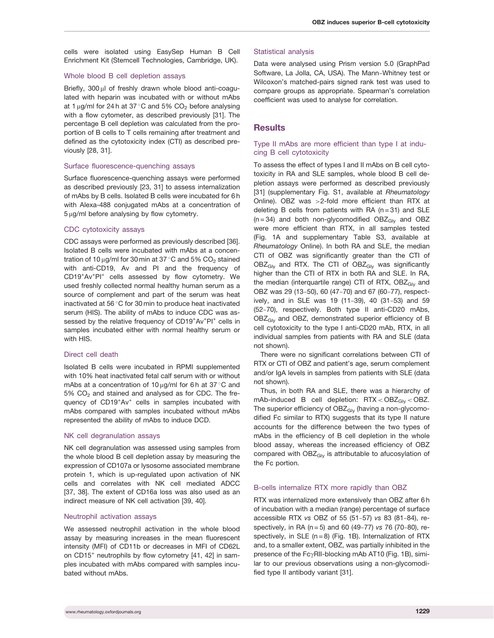cells were isolated using EasySep Human B Cell Enrichment Kit (Stemcell Technologies, Cambridge, UK).

#### Whole blood B cell depletion assays

Briefly, 300 µl of freshly drawn whole blood anti-coagulated with heparin was incubated with or without mAbs at 1  $\mu$ g/ml for 24 h at 37 °C and 5% CO<sub>2</sub> before analysing with a flow cytometer, as described previously [\[31\]](#page-10-0). The percentage B cell depletion was calculated from the proportion of B cells to T cells remaining after treatment and defined as the cytotoxicity index (CTI) as described previously [\[28, 31](#page-10-0)].

#### Surface fluorescence-quenching assays

Surface fluorescence-quenching assays were performed as described previously [[23](#page-9-0), [31](#page-10-0)] to assess internalization of mAbs by B cells. Isolated B cells were incubated for 6 h with Alexa-488 conjugated mAbs at a concentration of  $5 \mu g/ml$  before analysing by flow cytometry.

#### CDC cytotoxicity assays

CDC assays were performed as previously described [[36](#page-10-0)]. Isolated B cells were incubated with mAbs at a concentration of 10  $\mu$ g/ml for 30 min at 37 °C and 5% CO<sub>2</sub> stained with anti-CD19, Av and PI and the frequency of CD19<sup>+</sup>Av<sup>+</sup>PI<sup>+</sup> cells assessed by flow cytometry. We used freshly collected normal healthy human serum as a source of complement and part of the serum was heat inactivated at 56 $\degree$ C for 30 min to produce heat inactivated serum (HIS). The ability of mAbs to induce CDC was assessed by the relative frequency of CD19<sup>+</sup>Av<sup>+</sup>PI<sup>+</sup> cells in samples incubated either with normal healthy serum or with HIS.

#### Direct cell death

Isolated B cells were incubated in RPMI supplemented with 10% heat inactivated fetal calf serum with or without mAbs at a concentration of 10  $\mu$ g/ml for 6 h at 37 °C and 5% CO<sub>2</sub> and stained and analysed as for CDC. The frequency of CD19<sup>+</sup>Av<sup>+</sup> cells in samples incubated with mAbs compared with samples incubated without mAbs represented the ability of mAbs to induce DCD.

#### NK cell degranulation assays

NK cell degranulation was assessed using samples from the whole blood B cell depletion assay by measuring the expression of CD107a or lysosome associated membrane protein 1, which is up-regulated upon activation of NK cells and correlates with NK cell mediated ADCC [[37, 38](#page-10-0)]. The extent of CD16a loss was also used as an indirect measure of NK cell activation [[39](#page-10-0), [40\]](#page-10-0).

#### Neutrophil activation assays

We assessed neutrophil activation in the whole blood assay by measuring increases in the mean fluorescent intensity (MFI) of CD11b or decreases in MFI of CD62L on CD15<sup>+</sup> neutrophils by flow cytometry [\[41, 42](#page-10-0)] in samples incubated with mAbs compared with samples incubated without mAbs.

#### Statistical analysis

Data were analysed using Prism version 5.0 (GraphPad Software, La Jolla, CA, USA). The Mann-Whitney test or Wilcoxon's matched-pairs signed rank test was used to compare groups as appropriate. Spearman's correlation coefficient was used to analyse for correlation.

## **Results**

## Type II mAbs are more efficient than type I at inducing B cell cytotoxicity

To assess the effect of types I and II mAbs on B cell cytotoxicity in RA and SLE samples, whole blood B cell depletion assays were performed as described previously [[31](#page-10-0)] ([supplementary Fig. S1](http://rheumatology.oxfordjournals.org/lookup/suppl/doi:10.1093/rheumatology/kex067/-/DC1), available at Rheumatology Online). OBZ was >2-fold more efficient than RTX at deleting B cells from patients with RA  $(n=31)$  and SLE  $(n=34)$  and both non-glycomodified OBZ<sub>Gly</sub> and OBZ were more efficient than RTX, in all samples tested (Fig. 1A and [supplementary Table S3,](http://rheumatology.oxfordjournals.org/lookup/suppl/doi:10.1093/rheumatology/kex067/-/DC1) available at Rheumatology Online). In both RA and SLE, the median CTI of OBZ was significantly greater than the CTI of  $OBZ<sub>GIV</sub>$  and RTX. The CTI of  $OBZ<sub>GIV</sub>$  was significantly higher than the CTI of RTX in both RA and SLE. In RA, the median (interquartile range) CTI of RTX,  $O B Z<sub>G</sub>$  and OBZ was 29 (13-50), 60 (47-70) and 67 (60-77), respectively, and in SLE was 19 (11-39), 40 (31-53) and 59 (52-70), respectively. Both type II anti-CD20 mAbs, OBZ<sub>Gly</sub> and OBZ, demonstrated superior efficiency of B cell cytotoxicity to the type I anti-CD20 mAb, RTX, in all individual samples from patients with RA and SLE (data not shown).

There were no significant correlations between CTI of RTX or CTI of OBZ and patient's age, serum complement and/or IgA levels in samples from patients with SLE (data not shown).

Thus, in both RA and SLE, there was a hierarchy of mAb-induced B cell depletion:  $RTX < OBZ<sub>Glv</sub> < OBZ$ . The superior efficiency of OBZ<sub>Gly</sub> (having a non-glycomodified Fc similar to RTX) suggests that its type II nature accounts for the difference between the two types of mAbs in the efficiency of B cell depletion in the whole blood assay, whereas the increased efficiency of OBZ compared with  $OBZ<sub>Gly</sub>$  is attributable to afucosylation of the Fc portion.

## B-cells internalize RTX more rapidly than OBZ

RTX was internalized more extensively than OBZ after 6 h of incubation with a median (range) percentage of surface accessible RTX vs OBZ of 55 (51-57) vs 83 (81-84), respectively, in RA (n = 5) and 60 (49-77) vs 76 (70-80), respectively, in SLE ( $n = 8$ ) (Fig. 1B). Internalization of RTX and, to a smaller extent, OBZ, was partially inhibited in the presence of the Fc $\gamma$ RII-blocking mAb AT10 (Fig. 1B), similar to our previous observations using a non-glycomodified type II antibody variant [\[31](#page-10-0)].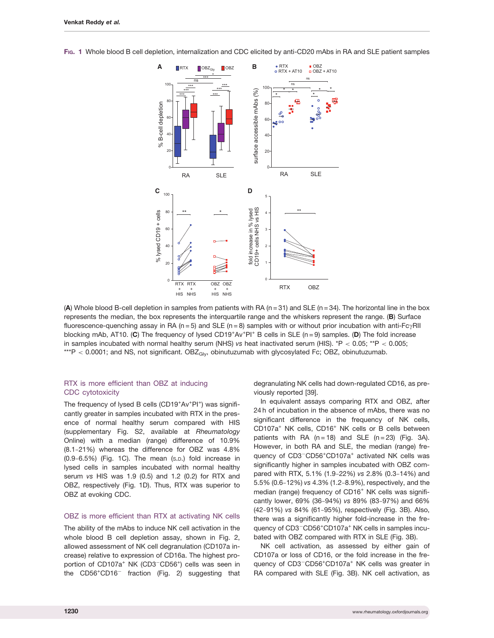FIG. 1 Whole blood B cell depletion, internalization and CDC elicited by anti-CD20 mAbs in RA and SLE patient samples



(A) Whole blood B-cell depletion in samples from patients with RA ( $n = 31$ ) and SLE ( $n = 34$ ). The horizontal line in the box represents the median, the box represents the interquartile range and the whiskers represent the range. (B) Surface fluorescence-quenching assay in RA (n = 5) and SLE (n = 8) samples with or without prior incubation with anti-Fc $\gamma$ RII blocking mAb, AT10. (C) The frequency of lysed CD19<sup>+</sup>Av<sup>+</sup>PI<sup>+</sup> B cells in SLE (n = 9) samples. (D) The fold increase in samples incubated with normal healthy serum (NHS) vs heat inactivated serum (HIS).  $*P < 0.05$ ;  $*P < 0.005$ ; \*\*\*P < 0.0001; and NS, not significant.  $OBE<sub>Giv</sub>$ , obinutuzumab with glycosylated Fc; OBZ, obinutuzumab.

## RTX is more efficient than OBZ at inducing CDC cytotoxicity

The frequency of lysed B cells (CD19<sup>+</sup>Av<sup>+</sup>PI<sup>+</sup>) was significantly greater in samples incubated with RTX in the presence of normal healthy serum compared with HIS ([supplementary Fig. S2](http://rheumatology.oxfordjournals.org/lookup/suppl/doi:10.1093/rheumatology/kex067/-/DC1), available at Rheumatology Online) with a median (range) difference of 10.9% (8.1-21%) whereas the difference for OBZ was 4.8% (0.9-6.5%) (Fig. 1C). The mean (S.D.) fold increase in lysed cells in samples incubated with normal healthy serum vs HIS was 1.9 (0.5) and 1.2 (0.2) for RTX and OBZ, respectively (Fig. 1D). Thus, RTX was superior to OBZ at evoking CDC.

#### OBZ is more efficient than RTX at activating NK cells

The ability of the mAbs to induce NK cell activation in the whole blood B cell depletion assay, shown in Fig. 2, allowed assessment of NK cell degranulation (CD107a increase) relative to expression of CD16a. The highest proportion of CD107a<sup>+</sup> NK (CD3<sup>-</sup>CD56<sup>+</sup>) cells was seen in the CD56<sup>+</sup>CD16<sup>-</sup> fraction (Fig. 2) suggesting that

degranulating NK cells had down-regulated CD16, as previously reported [[39](#page-10-0)].

In equivalent assays comparing RTX and OBZ, after 24 h of incubation in the absence of mAbs, there was no significant difference in the frequency of NK cells, CD107a+ NK cells, CD16<sup>+</sup> NK cells or B cells between patients with RA  $(n=18)$  and SLE  $(n=23)$  (Fig. 3A). However, in both RA and SLE, the median (range) frequency of CD3<sup>-</sup>CD56<sup>+</sup>CD107a<sup>+</sup> activated NK cells was significantly higher in samples incubated with OBZ compared with RTX, 5.1% (1.9-22%) vs 2.8% (0.3-14%) and 5.5% (0.6-12%) vs 4.3% (1.2-8.9%), respectively, and the median (range) frequency of CD16<sup>+</sup> NK cells was significantly lower, 69% (36-94%) vs 89% (83-97%) and 66% (42-91%) vs 84% (61-95%), respectively (Fig. 3B). Also, there was a significantly higher fold-increase in the frequency of CD3<sup>-</sup>CD56<sup>+</sup>CD107a<sup>+</sup> NK cells in samples incubated with OBZ compared with RTX in SLE (Fig. 3B).

NK cell activation, as assessed by either gain of CD107a or loss of CD16, or the fold increase in the frequency of CD3<sup>-</sup>CD56<sup>+</sup>CD107a<sup>+</sup> NK cells was greater in RA compared with SLE (Fig. 3B). NK cell activation, as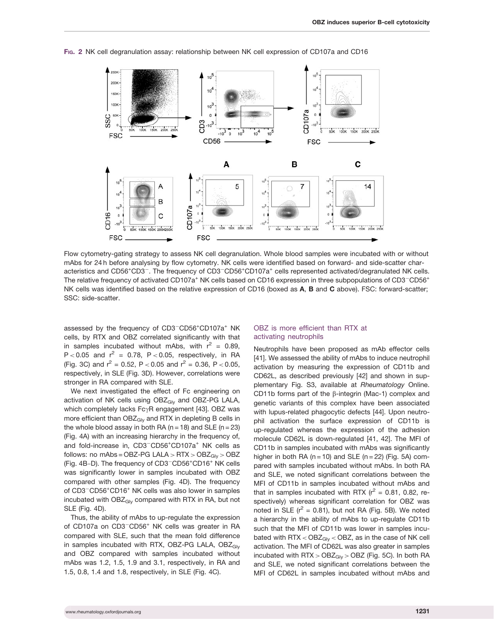

FIG. 2 NK cell degranulation assay: relationship between NK cell expression of CD107a and CD16

Flow cytometry-gating strategy to assess NK cell degranulation. Whole blood samples were incubated with or without mAbs for 24 h before analysing by flow cytometry. NK cells were identified based on forward- and side-scatter characteristics and CD56+CD3<sup>-</sup>. The frequency of CD3<sup>-</sup>CD56+CD107a<sup>+</sup> cells represented activated/degranulated NK cells. The relative frequency of activated CD107a<sup>+</sup> NK cells based on CD16 expression in three subpopulations of CD3<sup>-</sup>CD56<sup>+</sup> NK cells was identified based on the relative expression of CD16 (boxed as A, B and C above). FSC: forward-scatter; SSC: side-scatter.

assessed by the frequency of CD3<sup>-</sup>CD56<sup>+</sup>CD107a<sup>+</sup> NK cells, by RTX and OBZ correlated significantly with that in samples incubated without mAbs, with  $r^2 = 0.89$ ,  $P < 0.05$  and  $r^2 = 0.78$ ,  $P < 0.05$ , respectively, in RA (Fig. 3C) and  $r^2 = 0.52$ , P < 0.05 and  $r^2 = 0.36$ , P < 0.05, respectively, in SLE (Fig. 3D). However, correlations were stronger in RA compared with SLE.

We next investigated the effect of Fc engineering on activation of NK cells using OBZ<sub>Gly</sub> and OBZ-PG LALA, which completely lacks  $Fc\gamma R$  engagement [\[43\]](#page-10-0). OBZ was more efficient than  $OBZ<sub>Glv</sub>$  and RTX in depleting B cells in the whole blood assay in both RA ( $n = 18$ ) and SLE ( $n = 23$ ) (Fig. 4A) with an increasing hierarchy in the frequency of, and fold-increase in, CD3<sup>-</sup>CD56<sup>+</sup>CD107a<sup>+</sup> NK cells as follows: no mAbs = OBZ-PG LALA >  $RTX > OBZ<sub>Giv</sub> > OBZ$ (Fig. 4B-D). The frequency of CD3<sup>-</sup>CD56<sup>+</sup>CD16<sup>+</sup> NK cells was significantly lower in samples incubated with OBZ compared with other samples (Fig. 4D). The frequency of CD3<sup>-</sup>CD56<sup>+</sup>CD16<sup>+</sup> NK cells was also lower in samples incubated with OBZ<sub>Gly</sub> compared with RTX in RA, but not SLE (Fig. 4D).

Thus, the ability of mAbs to up-regulate the expression of CD107a on CD3<sup>-</sup>CD56<sup>+</sup> NK cells was greater in RA compared with SLE, such that the mean fold difference in samples incubated with RTX, OBZ-PG LALA, OBZ<sub>Gly</sub> and OBZ compared with samples incubated without mAbs was 1.2, 1.5, 1.9 and 3.1, respectively, in RA and 1.5, 0.8, 1.4 and 1.8, respectively, in SLE (Fig. 4C).

## OBZ is more efficient than RTX at activating neutrophils

Neutrophils have been proposed as mAb effector cells [[41](#page-10-0)]. We assessed the ability of mAbs to induce neutrophil activation by measuring the expression of CD11b and CD62L, as described previously [\[42\]](#page-10-0) and shown in [sup](http://rheumatology.oxfordjournals.org/lookup/suppl/doi:10.1093/rheumatology/kex067/-/DC1)[plementary Fig. S3](http://rheumatology.oxfordjournals.org/lookup/suppl/doi:10.1093/rheumatology/kex067/-/DC1), available at Rheumatology Online. CD11b forms part of the  $\beta$ -integrin (Mac-1) complex and genetic variants of this complex have been associated with lupus-related phagocytic defects [[44\]](#page-10-0). Upon neutrophil activation the surface expression of CD11b is up-regulated whereas the expression of the adhesion molecule CD62L is down-regulated [\[41, 42\]](#page-10-0). The MFI of CD11b in samples incubated with mAbs was significantly higher in both RA ( $n = 10$ ) and SLE ( $n = 22$ ) (Fig. 5A) compared with samples incubated without mAbs. In both RA and SLE, we noted significant correlations between the MFI of CD11b in samples incubated without mAbs and that in samples incubated with RTX ( $r^2$  = 0.81, 0.82, respectively) whereas significant correlation for OBZ was noted in SLE ( $r^2$  = 0.81), but not RA (Fig. 5B). We noted a hierarchy in the ability of mAbs to up-regulate CD11b such that the MFI of CD11b was lower in samples incubated with  $RTX < OBZ<sub>Glv</sub> < OBZ$ , as in the case of NK cell activation. The MFI of CD62L was also greater in samples incubated with  $RTX > OBZ<sub>Gly</sub> > OBZ$  (Fig. 5C). In both RA and SLE, we noted significant correlations between the MFI of CD62L in samples incubated without mAbs and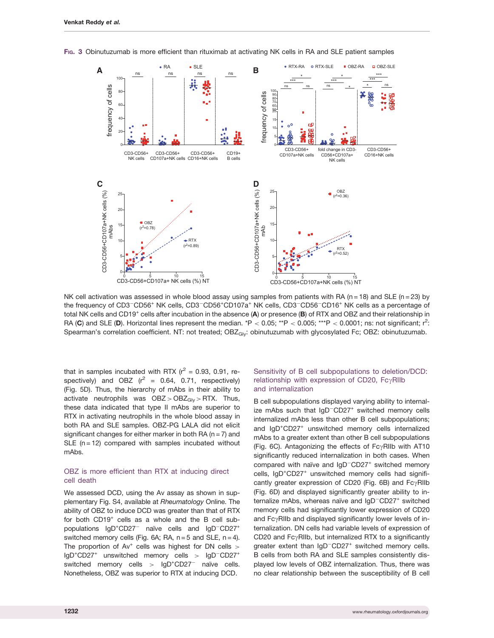

FIG. 3 Obinutuzumab is more efficient than rituximab at activating NK cells in RA and SLE patient samples

NK cell activation was assessed in whole blood assay using samples from patients with RA (n = 18) and SLE (n = 23) by the frequency of CD3<sup>-</sup>CD56<sup>+</sup> NK cells, CD3<sup>-</sup>CD56<sup>+</sup>CD107a<sup>+</sup> NK cells, CD3<sup>-</sup>CD56<sup>-</sup>CD16<sup>+</sup> NK cells as a percentage of total NK cells and CD19<sup>+</sup> cells after incubation in the absence (A) or presence (B) of RTX and OBZ and their relationship in RA (C) and SLE (D). Horizontal lines represent the median. \*P < 0.05; \*\*P < 0.005; \*\*\*P < 0.0001; ns: not significant; r<sup>2</sup>: Spearman's correlation coefficient. NT: not treated; OBZ<sub>Gly</sub>: obinutuzumab with glycosylated Fc; OBZ: obinutuzumab.

that in samples incubated with RTX  $(r^2 = 0.93, 0.91,$  respectively) and OBZ  $(r^2 = 0.64, 0.71,$  respectively) (Fig. 5D). Thus, the hierarchy of mAbs in their ability to activate neutrophils was  $OBZ > OBZ<sub>Gly</sub> > RTX$ . Thus, these data indicated that type II mAbs are superior to RTX in activating neutrophils in the whole blood assay in both RA and SLE samples. OBZ-PG LALA did not elicit significant changes for either marker in both RA ( $n = 7$ ) and SLE  $(n = 12)$  compared with samples incubated without mAbs.

## OBZ is more efficient than RTX at inducing direct cell death

We assessed DCD, using the Av assay as shown in [sup](http://rheumatology.oxfordjournals.org/lookup/suppl/doi:10.1093/rheumatology/kex067/-/DC1)[plementary Fig. S4](http://rheumatology.oxfordjournals.org/lookup/suppl/doi:10.1093/rheumatology/kex067/-/DC1), available at Rheumatology Online. The ability of OBZ to induce DCD was greater than that of RTX for both CD19<sup>+</sup> cells as a whole and the B cell subpopulations IgD<sup>+</sup>CD27<sup>-</sup> naïve cells and IgD<sup>-</sup>CD27<sup>+</sup> switched memory cells (Fig. 6A; RA,  $n = 5$  and SLE,  $n = 4$ ). The proportion of  $Av^+$  cells was highest for DN cells  $>$ IgD<sup>+</sup>CD27<sup>+</sup> unswitched memory cells > IgD<sup>-</sup>CD27<sup>+</sup> switched memory cells >  $lgD<sup>+</sup>CD27<sup>-</sup>$  naïve cells. Nonetheless, OBZ was superior to RTX at inducing DCD.

## Sensitivity of B cell subpopulations to deletion/DCD: relationship with expression of CD20,  $Fc\gamma$ RIIb and internalization

B cell subpopulations displayed varying ability to internalize mAbs such that IgD<sup>-</sup>CD27<sup>+</sup> switched memory cells internalized mAbs less than other B cell subpopulations; and IgD<sup>+</sup>CD27<sup>+</sup> unswitched memory cells internalized mAbs to a greater extent than other B cell subpopulations (Fig. 6C). Antagonizing the effects of  $Fc\gamma$ RIIb with AT10 significantly reduced internalization in both cases. When compared with naïve and  $IgD$ <sup>-</sup>CD27<sup>+</sup> switched memory cells, IgD<sup>+</sup>CD27<sup>+</sup> unswitched memory cells had significantly greater expression of CD20 (Fig. 6B) and  $Fc\gamma$ RIIb (Fig. 6D) and displayed significantly greater ability to internalize mAbs, whereas naïve and IgD<sup>-</sup>CD27<sup>+</sup> switched memory cells had significantly lower expression of CD20 and  $Fc\gamma$ RIIb and displayed significantly lower levels of internalization. DN cells had variable levels of expression of CD20 and Fc $\gamma$ RIIb, but internalized RTX to a significantly greater extent than IgD<sup>-</sup>CD27<sup>+</sup> switched memory cells. B cells from both RA and SLE samples consistently displayed low levels of OBZ internalization. Thus, there was no clear relationship between the susceptibility of B cell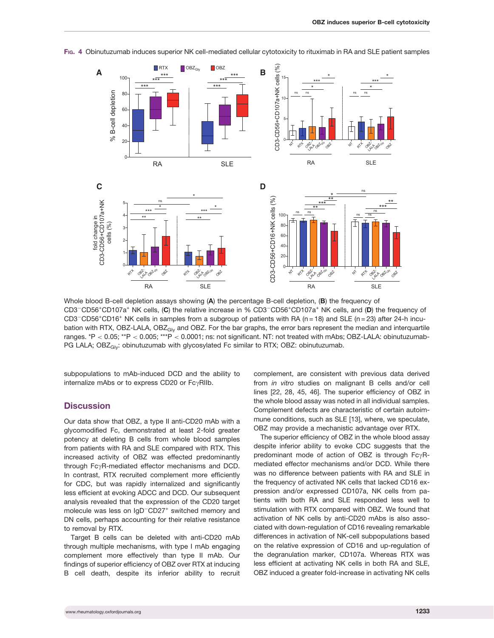

FIG. 4 Obinutuzumab induces superior NK cell-mediated cellular cytotoxicity to rituximab in RA and SLE patient samples

Whole blood B-cell depletion assays showing (A) the percentage B-cell depletion, (B) the frequency of CD3<sup>-</sup>CD56<sup>+</sup>CD107a<sup>+</sup> NK cells, (C) the relative increase in % CD3<sup>-</sup>CD56<sup>+</sup>CD107a<sup>+</sup> NK cells, and (D) the frequency of CD3<sup>-</sup>CD56<sup>+</sup>CD16<sup>+</sup> NK cells in samples from a subgroup of patients with RA (n = 18) and SLE (n = 23) after 24-h incubation with RTX, OBZ-LALA, OBZ<sub>Gly</sub> and OBZ. For the bar graphs, the error bars represent the median and interquartile ranges. \*P < 0.05; \*\*P < 0.005; \*\*\*P < 0.0001; ns: not significant. NT: not treated with mAbs; OBZ-LALA: obinutuzumab-PG LALA; OBZ<sub>Gly</sub>: obinutuzumab with glycosylated Fc similar to RTX; OBZ: obinutuzumab.

subpopulations to mAb-induced DCD and the ability to internalize mAbs or to express CD20 or  $Fc\gamma$ RIIb.

## **Discussion**

Our data show that OBZ, a type II anti-CD20 mAb with a glycomodified Fc, demonstrated at least 2-fold greater potency at deleting B cells from whole blood samples from patients with RA and SLE compared with RTX. This increased activity of OBZ was effected predominantly through  $Fc\gamma R$ -mediated effector mechanisms and DCD. In contrast, RTX recruited complement more efficiently for CDC, but was rapidly internalized and significantly less efficient at evoking ADCC and DCD. Our subsequent analysis revealed that the expression of the CD20 target molecule was less on IgD<sup>-</sup>CD27<sup>+</sup> switched memory and DN cells, perhaps accounting for their relative resistance to removal by RTX.

Target B cells can be deleted with anti-CD20 mAb through multiple mechanisms, with type I mAb engaging complement more effectively than type II mAb. Our findings of superior efficiency of OBZ over RTX at inducing B cell death, despite its inferior ability to recruit

complement, are consistent with previous data derived from in vitro studies on malignant B cells and/or cell lines [[22](#page-9-0), [28, 45](#page-10-0), [46\]](#page-10-0). The superior efficiency of OBZ in the whole blood assay was noted in all individual samples. Complement defects are characteristic of certain autoimmune conditions, such as SLE [\[13\]](#page-9-0), where, we speculate, OBZ may provide a mechanistic advantage over RTX.

The superior efficiency of OBZ in the whole blood assay despite inferior ability to evoke CDC suggests that the predominant mode of action of OBZ is through  $Fc\gamma R$ mediated effector mechanisms and/or DCD. While there was no difference between patients with RA and SLE in the frequency of activated NK cells that lacked CD16 expression and/or expressed CD107a, NK cells from patients with both RA and SLE responded less well to stimulation with RTX compared with OBZ. We found that activation of NK cells by anti-CD20 mAbs is also associated with down-regulation of CD16 revealing remarkable differences in activation of NK-cell subpopulations based on the relative expression of CD16 and up-regulation of the degranulation marker, CD107a. Whereas RTX was less efficient at activating NK cells in both RA and SLE, OBZ induced a greater fold-increase in activating NK cells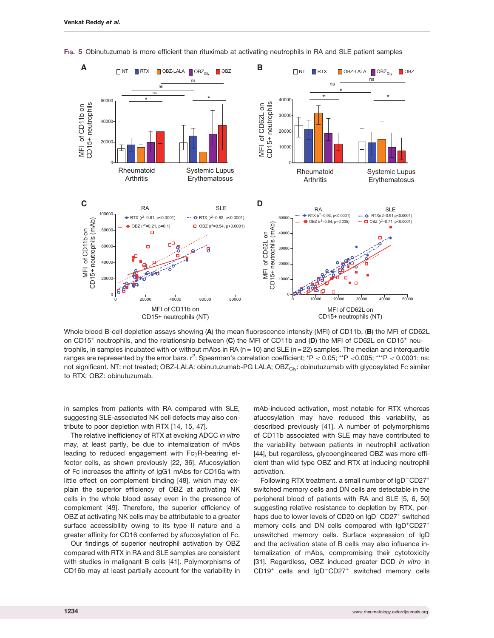

FIG. 5 Obinutuzumab is more efficient than rituximab at activating neutrophils in RA and SLE patient samples

Whole blood B-cell depletion assays showing (A) the mean fluorescence intensity (MFI) of CD11b, (B) the MFI of CD62L on CD15<sup>+</sup> neutrophils, and the relationship between (C) the MFI of CD11b and (D) the MFI of CD62L on CD15<sup>+</sup> neutrophils, in samples incubated with or without mAbs in RA ( $n = 10$ ) and SLE ( $n = 22$ ) samples. The median and interquartile ranges are represented by the error bars.  $r^2$ : Spearman's correlation coefficient; \*P < 0.05; \*\*P <0.005; \*\*\*P < 0.0001; ns: not significant. NT: not treated; OBZ-LALA: obinutuzumab-PG LALA; OBZ<sub>Gly</sub>: obinutuzumab with glycosylated Fc similar to RTX; OBZ: obinutuzumab.

in samples from patients with RA compared with SLE, suggesting SLE-associated NK cell defects may also contribute to poor depletion with RTX [\[14, 15](#page-9-0), [47\]](#page-10-0).

The relative inefficiency of RTX at evoking ADCC in vitro may, at least partly, be due to internalization of mAbs leading to reduced engagement with  $Fc\gamma R$ -bearing effector cells, as shown previously [[22,](#page-9-0) [36](#page-10-0)]. Afucosylation of Fc increases the affinity of IgG1 mAbs for CD16a with little effect on complement binding [[48](#page-10-0)], which may explain the superior efficiency of OBZ at activating NK cells in the whole blood assay even in the presence of complement [[49](#page-10-0)]. Therefore, the superior efficiency of OBZ at activating NK cells may be attributable to a greater surface accessibility owing to its type II nature and a greater affinity for CD16 conferred by afucosylation of Fc.

Our findings of superior neutrophil activation by OBZ compared with RTX in RA and SLE samples are consistent with studies in malignant B cells [\[41](#page-10-0)]. Polymorphisms of CD16b may at least partially account for the variability in

mAb-induced activation, most notable for RTX whereas afucosylation may have reduced this variability, as described previously [[41](#page-10-0)]. A number of polymorphisms of CD11b associated with SLE may have contributed to the variability between patients in neutrophil activation [[44](#page-10-0)], but regardless, glycoengineered OBZ was more efficient than wild type OBZ and RTX at inducing neutrophil activation.

Following RTX treatment, a small number of IgD<sup>-</sup>CD27<sup>+</sup> switched memory cells and DN cells are detectable in the peripheral blood of patients with RA and SLE [[5, 6](#page-9-0), [50\]](#page-10-0) suggesting relative resistance to depletion by RTX, perhaps due to lower levels of CD20 on IgD<sup>-</sup>CD27<sup>+</sup> switched memory cells and DN cells compared with IgD<sup>+</sup>CD27<sup>+</sup> unswitched memory cells. Surface expression of IgD and the activation state of B cells may also influence internalization of mAbs, compromising their cytotoxicity [[31](#page-10-0)]. Regardless, OBZ induced greater DCD in vitro in CD19<sup>+</sup> cells and IgD<sup>-</sup>CD27<sup>+</sup> switched memory cells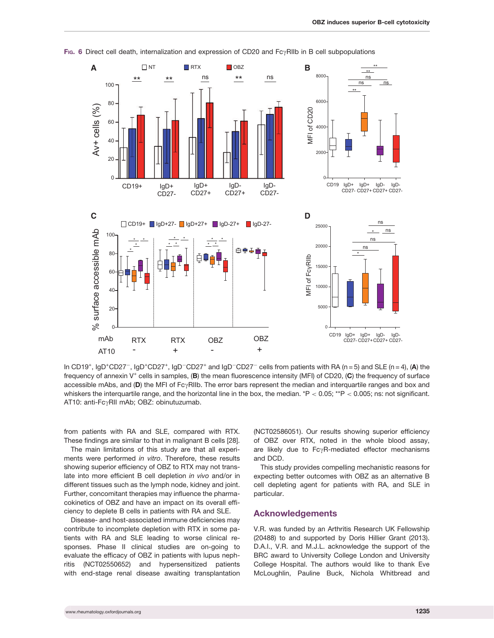

FIG. 6 Direct cell death, internalization and expression of CD20 and  $Fc\gamma$ RIIb in B cell subpopulations

In CD19<sup>+</sup>, IgD<sup>+</sup>CD27<sup>-</sup>, IgD<sup>+</sup>CD27<sup>+</sup>, IgD<sup>-</sup>CD27<sup>+</sup> and IgD<sup>-</sup>CD27<sup>-</sup> cells from patients with RA (n = 5) and SLE (n = 4), (A) the frequency of annexin  $V^+$  cells in samples,  $(B)$  the mean fluorescence intensity (MFI) of CD20,  $(C)$  the frequency of surface accessible mAbs, and  $(D)$  the MFI of Fc $\gamma$ RIIb. The error bars represent the median and interquartile ranges and box and whiskers the interquartile range, and the horizontal line in the box, the median. \*P  $< 0.05$ ; \*\*P  $< 0.005$ ; ns: not significant. AT10: anti-FcyRII mAb; OBZ: obinutuzumab.

from patients with RA and SLE, compared with RTX. These findings are similar to that in malignant B cells [[28](#page-10-0)].

The main limitations of this study are that all experiments were performed in vitro. Therefore, these results showing superior efficiency of OBZ to RTX may not translate into more efficient B cell depletion in vivo and/or in different tissues such as the lymph node, kidney and joint. Further, concomitant therapies may influence the pharmacokinetics of OBZ and have an impact on its overall efficiency to deplete B cells in patients with RA and SLE.

Disease- and host-associated immune deficiencies may contribute to incomplete depletion with RTX in some patients with RA and SLE leading to worse clinical responses. Phase II clinical studies are on-going to evaluate the efficacy of OBZ in patients with lupus nephritis (NCT02550652) and hypersensitized patients with end-stage renal disease awaiting transplantation

(NCT02586051). Our results showing superior efficiency of OBZ over RTX, noted in the whole blood assay, are likely due to  $Fc\gamma R$ -mediated effector mechanisms and DCD.

This study provides compelling mechanistic reasons for expecting better outcomes with OBZ as an alternative B cell depleting agent for patients with RA, and SLE in particular.

## Acknowledgements

V.R. was funded by an Arthritis Research UK Fellowship (20488) to and supported by Doris Hillier Grant (2013). D.A.I., V.R. and M.J.L. acknowledge the support of the BRC award to University College London and University College Hospital. The authors would like to thank Eve McLoughlin, Pauline Buck, Nichola Whitbread and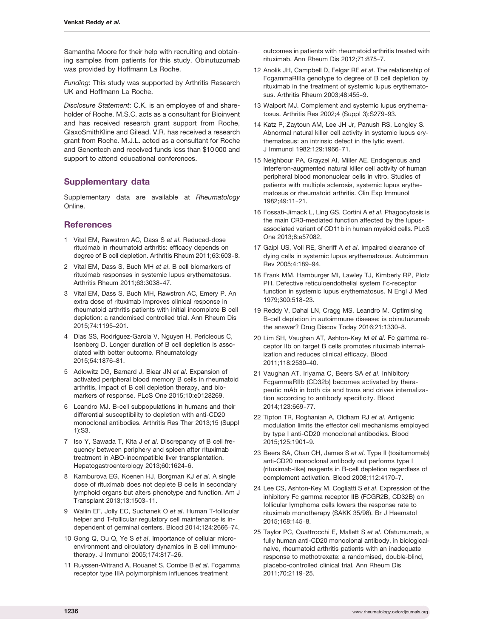<span id="page-9-0"></span>Samantha Moore for their help with recruiting and obtaining samples from patients for this study. Obinutuzumab was provided by Hoffmann La Roche.

Funding: This study was supported by Arthritis Research UK and Hoffmann La Roche.

Disclosure Statement: C.K. is an employee of and shareholder of Roche. M.S.C. acts as a consultant for Bioinvent and has received research grant support from Roche, GlaxoSmithKline and Gilead. V.R. has received a research grant from Roche. M.J.L. acted as a consultant for Roche and Genentech and received funds less than \$10 000 and support to attend educational conferences.

# Supplementary data

[Supplementary data](http://rheumatology.oxfordjournals.org/lookup/suppl/doi:10.1093/rheumatology/kex067/-/DC1) are available at Rheumatology Online.

## **References**

- 1 Vital EM, Rawstron AC, Dass S et al. Reduced-dose rituximab in rheumatoid arthritis: efficacy depends on degree of B cell depletion. Arthritis Rheum 2011;63:603-8.
- 2 Vital EM, Dass S, Buch MH et al. B cell biomarkers of rituximab responses in systemic lupus erythematosus. Arthritis Rheum 2011;63:3038-47.
- 3 Vital EM, Dass S, Buch MH, Rawstron AC, Emery P. An extra dose of rituximab improves clinical response in rheumatoid arthritis patients with initial incomplete B cell depletion: a randomised controlled trial. Ann Rheum Dis 2015;74:1195-201.
- 4 Dias SS, Rodriguez-Garcia V, Nguyen H, Pericleous C, Isenberg D. Longer duration of B cell depletion is associated with better outcome. Rheumatology 2015;54:1876-81.
- 5 Adlowitz DG, Barnard J, Biear JN et al. Expansion of activated peripheral blood memory B cells in rheumatoid arthritis, impact of B cell depletion therapy, and biomarkers of response. PLoS One 2015;10:e0128269.
- 6 Leandro MJ. B-cell subpopulations in humans and their differential susceptibility to depletion with anti-CD20 monoclonal antibodies. Arthritis Res Ther 2013;15 (Suppl 1):S3.
- 7 Iso Y, Sawada T, Kita J et al. Discrepancy of B cell frequency between periphery and spleen after rituximab treatment in ABO-incompatible liver transplantation. Hepatogastroenterology 2013;60:1624-6.
- 8 Kamburova EG, Koenen HJ, Borgman KJ et al. A single dose of rituximab does not deplete B cells in secondary lymphoid organs but alters phenotype and function. Am J Transplant 2013;13:1503-11.
- 9 Wallin EF, Jolly EC, Suchanek O et al. Human T-follicular helper and T-follicular regulatory cell maintenance is independent of germinal centers. Blood 2014;124:2666-74.
- 10 Gong Q, Ou Q, Ye S et al. Importance of cellular microenvironment and circulatory dynamics in B cell immunotherapy. J Immunol 2005;174:817-26.
- 11 Ruyssen-Witrand A, Rouanet S, Combe B et al. Fcgamma receptor type IIIA polymorphism influences treatment

outcomes in patients with rheumatoid arthritis treated with rituximab. Ann Rheum Dis 2012;71:875-7.

- 12 Anolik JH, Campbell D, Felgar RE et al. The relationship of FcgammaRIIIa genotype to degree of B cell depletion by rituximab in the treatment of systemic lupus erythematosus. Arthritis Rheum 2003;48:455-9.
- 13 Walport MJ. Complement and systemic lupus erythematosus. Arthritis Res 2002;4 (Suppl 3):S279-93.
- 14 Katz P, Zaytoun AM, Lee JH Jr, Panush RS, Longley S. Abnormal natural killer cell activity in systemic lupus erythematosus: an intrinsic defect in the lytic event. J Immunol 1982;129:1966-71.
- 15 Neighbour PA, Grayzel AI, Miller AE. Endogenous and interferon-augmented natural killer cell activity of human peripheral blood mononuclear cells in vitro. Studies of patients with multiple sclerosis, systemic lupus erythematosus or rheumatoid arthritis. Clin Exp Immunol 1982;49:11-21.
- 16 Fossati-Jimack L, Ling GS, Cortini A et al. Phagocytosis is the main CR3-mediated function affected by the lupusassociated variant of CD11b in human myeloid cells. PLoS One 2013;8:e57082.
- 17 Gaipl US, Voll RE, Sheriff A et al. Impaired clearance of dying cells in systemic lupus erythematosus. Autoimmun Rev 2005;4:189-94.
- 18 Frank MM, Hamburger MI, Lawley TJ, Kimberly RP, Plotz PH. Defective reticuloendothelial system Fc-receptor function in systemic lupus erythematosus. N Engl J Med 1979;300:518-23.
- 19 Reddy V, Dahal LN, Cragg MS, Leandro M. Optimising B-cell depletion in autoimmune disease: is obinutuzumab the answer? Drug Discov Today 2016;21:1330-8.
- 20 Lim SH, Vaughan AT, Ashton-Key M et al. Fc gamma receptor IIb on target B cells promotes rituximab internalization and reduces clinical efficacy. Blood 2011;118:2530-40.
- 21 Vaughan AT, Iriyama C, Beers SA et al. Inhibitory FcgammaRIIb (CD32b) becomes activated by therapeutic mAb in both cis and trans and drives internalization according to antibody specificity. Blood 2014;123:669-77.
- 22 Tipton TR, Roghanian A, Oldham RJ et al. Antigenic modulation limits the effector cell mechanisms employed by type I anti-CD20 monoclonal antibodies. Blood 2015;125:1901-9.
- 23 Beers SA, Chan CH, James S et al. Type II (tositumomab) anti-CD20 monoclonal antibody out performs type I (rituximab-like) reagents in B-cell depletion regardless of complement activation. Blood 2008;112:4170-7.
- 24 Lee CS, Ashton-Key M, Cogliatti S et al. Expression of the inhibitory Fc gamma receptor IIB (FCGR2B, CD32B) on follicular lymphoma cells lowers the response rate to rituximab monotherapy (SAKK 35/98). Br J Haematol 2015;168:145-8.
- 25 Taylor PC, Quattrocchi E, Mallett S et al. Ofatumumab, a fully human anti-CD20 monoclonal antibody, in biologicalnaive, rheumatoid arthritis patients with an inadequate response to methotrexate: a randomised, double-blind, placebo-controlled clinical trial. Ann Rheum Dis 2011;70:2119-25.